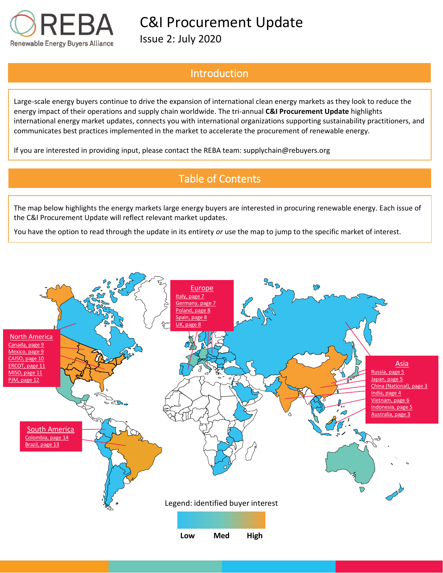

Issue 2: July 2020

# Introduction

Large-scale energy buyers continue to drive the expansion of international clean energy markets as they look to reduce the energy impact of their operations and supply chain worldwide. The tri-annual **C&I Procurement Update** highlights international energy market updates, connects you with international organizations supporting sustainability practitioners, and communicates best practices implemented in the market to accelerate the procurement of renewable energy.

If you are interested in providing input, please contact the REBA team: supplychain@rebuyers.org

# Table of Contents

The map below highlights the energy markets large energy buyers are interested in procuring renewable energy. Each issue of the C&I Procurement Update will reflect relevant market updates.

You have the option to read through the update in its entirety *or* use the map to jump to the specific market of interest.

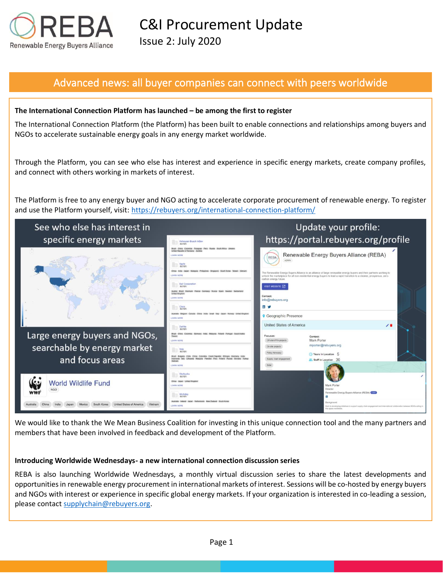

## Advanced news: all buyer companies can connect with peers worldwide

### **The International Connection Platform has launched – be among the first to register**

The International Connection Platform (the Platform) has been built to enable connections and relationships among buyers and NGOs to accelerate sustainable energy goals in any energy market worldwide.

Through the Platform, you can see who else has interest and experience in specific energy markets, create company profiles, and connect with others working in markets of interest.

The Platform is free to any energy buyer and NGO acting to accelerate corporate procurement of renewable energy. To register and use the Platform yourself, visit: https://rebuyers.org/international-connection-platform/



We would like to thank the We Mean Business Coalition for investing in this unique connection tool and the many partners and members that have been involved in feedback and development of the Platform.

#### **Introducing Worldwide Wednesdays- a new international connection discussion series**

REBA is also launching Worldwide Wednesdays, a monthly virtual discussion series to share the latest developments and opportunities in renewable energy procurement in international markets of interest. Sessions will be co-hosted by energy buyers and NGOs with interest or experience in specific global energy markets. If your organization is interested in co-leading a session, please contact [supplychain@rebuyers.org.](mailto:supplychain@rebuyers.org)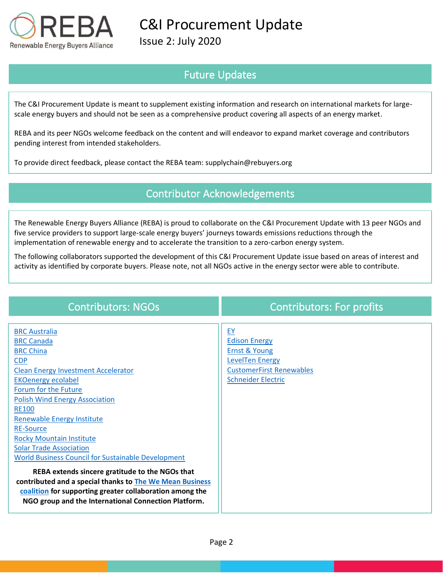

Issue 2: July 2020

# Future Updates

The C&I Procurement Update is meant to supplement existing information and research on international markets for largescale energy buyers and should not be seen as a comprehensive product covering all aspects of an energy market.

REBA and its peer NGOs welcome feedback on the content and will endeavor to expand market coverage and contributors pending interest from intended stakeholders.

To provide direct feedback, please contact the REBA team: supplychain@rebuyers.org

## Contributor Acknowledgements

The Renewable Energy Buyers Alliance (REBA) is proud to collaborate on the C&I Procurement Update with 13 peer NGOs and five service providers to support large-scale energy buyers' journeys towards emissions reductions through the implementation of renewable energy and to accelerate the transition to a zero-carbon energy system.

The following collaborators supported the development of this C&I Procurement Update issue based on areas of interest and activity as identified by corporate buyers. Please note, not all NGOs active in the energy sector were able to contribute.

| <b>Contributors: NGOs</b>                                                                                                                                                                                                                                                                                                                                                                                                                                                                                                                                                                                                                                             | <b>Contributors: For profits</b>                                                                                                                 |
|-----------------------------------------------------------------------------------------------------------------------------------------------------------------------------------------------------------------------------------------------------------------------------------------------------------------------------------------------------------------------------------------------------------------------------------------------------------------------------------------------------------------------------------------------------------------------------------------------------------------------------------------------------------------------|--------------------------------------------------------------------------------------------------------------------------------------------------|
| <b>BRC</b> Australia<br><b>BRC Canada</b><br><b>BRC China</b><br><b>CDP</b><br><b>Clean Energy Investment Accelerator</b><br><b>EKOenergy ecolabel</b><br>Forum for the Future<br><b>Polish Wind Energy Association</b><br><b>RE100</b><br><b>Renewable Energy Institute</b><br><b>RE-Source</b><br><b>Rocky Mountain Institute</b><br><b>Solar Trade Association</b><br><b>World Business Council for Sustainable Development</b><br>REBA extends sincere gratitude to the NGOs that<br>contributed and a special thanks to The We Mean Business<br>coalition for supporting greater collaboration among the<br>NGO group and the International Connection Platform. | EY<br><b>Edison Energy</b><br><b>Ernst &amp; Young</b><br><b>LevelTen Energy</b><br><b>CustomerFirst Renewables</b><br><b>Schneider Electric</b> |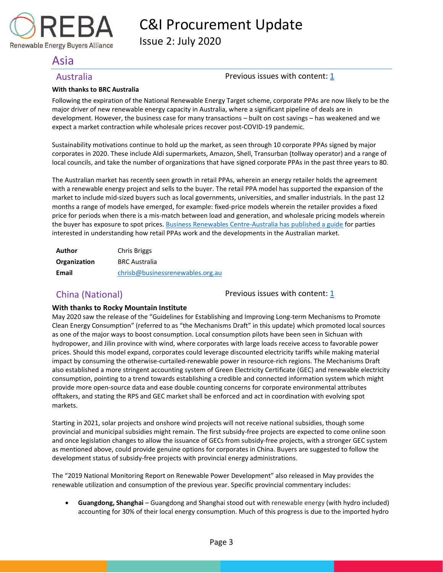Issue 2: July 2020

## <span id="page-3-0"></span>Asia

Renewable Energy Buyers Alliance

### <span id="page-3-2"></span>Australia **Previous issues with content:** [1](https://reba2019dev.wpengine.com/wp-content/uploads/2020/02/REBA-CI-Procurement-Update_Feb-2020-1.pdf)

### **With thanks to BRC Australia**

Following the expiration of the National Renewable Energy Target scheme, corporate PPAs are now likely to be the major driver of new renewable energy capacity in Australia, where a significant pipeline of deals are in development. However, the business case for many transactions – built on cost savings – has weakened and we expect a market contraction while wholesale prices recover post-COVID-19 pandemic.

Sustainability motivations continue to hold up the market, as seen through 10 corporate PPAs signed by major corporates in 2020. These include Aldi supermarkets, Amazon, Shell, Transurban (tollway operator) and a range of local councils, and take the number of organizations that have signed corporate PPAs in the past three years to 80.

The Australian market has recently seen growth in retail PPAs, wherein an energy retailer holds the agreement with a renewable energy project and sells to the buyer. The retail PPA model has supported the expansion of the market to include mid-sized buyers such as local governments, universities, and smaller industrials. In the past 12 months a range of models have emerged, for example: fixed-price models wherein the retailer provides a fixed price for periods when there is a mis-match between load and generation, and wholesale pricing models wherein the buyer has exposure to spot prices. [Business Renewables Centre-Australia has published a guide](https://www.linkedin.com/feed/update/urn:li:activity:6678845276205277184/) for parties interested in understanding how retail PPAs work and the developments in the Australian market.

| Author       | <b>Chris Briggs</b>              |
|--------------|----------------------------------|
| Organization | <b>BRC Australia</b>             |
| Email        | chrisb@businessrenewables.org.au |

<span id="page-3-1"></span>China (National) **Previous issues with content:** [1](https://reba2019dev.wpengine.com/wp-content/uploads/2020/02/REBA-CI-Procurement-Update_Feb-2020-1.pdf)

### **With thanks to Rocky Mountain Institute**

May 2020 saw the release of the "Guidelines for Establishing and Improving Long-term Mechanisms to Promote Clean Energy Consumption" (referred to as "the Mechanisms Draft" in this update) which promoted local sources as one of the major ways to boost consumption. Local consumption pilots have been seen in Sichuan with hydropower, and Jilin province with wind, where corporates with large loads receive access to favorable power prices. Should this model expand, corporates could leverage discounted electricity tariffs while making material impact by consuming the otherwise-curtailed-renewable power in resource-rich regions. The Mechanisms Draft also established a more stringent accounting system of Green Electricity Certificate (GEC) and renewable electricity consumption, pointing to a trend towards establishing a credible and connected information system which might provide more open-source data and ease double counting concerns for corporate environmental attributes offtakers, and stating the RPS and GEC market shall be enforced and act in coordination with evolving spot markets.

Starting in 2021, solar projects and onshore wind projects will not receive national subsidies, though some provincial and municipal subsidies might remain. The first subsidy-free projects are expected to come online soon and once legislation changes to allow the issuance of GECs from subsidy-free projects, with a stronger GEC system as mentioned above, could provide genuine options for corporates in China. Buyers are suggested to follow the development status of subsidy-free projects with provincial energy administrations.

The "2019 National Monitoring Report on Renewable Power Development" also released in May provides the renewable utilization and consumption of the previous year. Specific provincial commentary includes:

• **Guangdong, Shanghai** – Guangdong and Shanghai stood out with renewable energy (with hydro included) accounting for 30% of their local energy consumption. Much of this progress is due to the imported hydro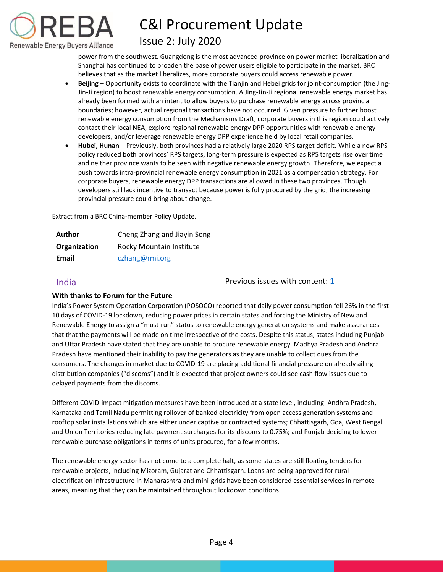

## Issue 2: July 2020

power from the southwest. Guangdong is the most advanced province on power market liberalization and Shanghai has continued to broaden the base of power users eligible to participate in the market. BRC believes that as the market liberalizes, more corporate buyers could access renewable power.

- **Beijing**  Opportunity exists to coordinate with the Tianjin and Hebei grids for joint-consumption (the Jing-Jin-Ji region) to boost renewable energy consumption. A Jing-Jin-Ji regional renewable energy market has already been formed with an intent to allow buyers to purchase renewable energy across provincial boundaries; however, actual regional transactions have not occurred. Given pressure to further boost renewable energy consumption from the Mechanisms Draft, corporate buyers in this region could actively contact their local NEA, explore regional renewable energy DPP opportunities with renewable energy developers, and/or leverage renewable energy DPP experience held by local retail companies.
- **Hubei, Hunan**  Previously, both provinces had a relatively large 2020 RPS target deficit. While a new RPS policy reduced both provinces' RPS targets, long-term pressure is expected as RPS targets rise over time and neither province wants to be seen with negative renewable energy growth. Therefore, we expect a push towards intra-provincial renewable energy consumption in 2021 as a compensation strategy. For corporate buyers, renewable energy DPP transactions are allowed in these two provinces. Though developers still lack incentive to transact because power is fully procured by the grid, the increasing provincial pressure could bring about change.

Extract from a BRC China-member Policy Update.

| <b>Author</b> | Cheng Zhang and Jiayin Song |
|---------------|-----------------------------|
| Organization  | Rocky Mountain Institute    |
| Email         | czhang@rmi.org              |

<span id="page-4-0"></span>India Previous issues with content: [1](https://reba2019dev.wpengine.com/wp-content/uploads/2020/02/REBA-CI-Procurement-Update_Feb-2020-1.pdf)

### **With thanks to Forum for the Future**

India's Power System Operation Corporation (POSOCO) reported that daily power consumption fell 26% in the first 10 days of COVID-19 lockdown, reducing power prices in certain states and forcing the Ministry of New and Renewable Energy to assign a "must-run" status to renewable energy generation systems and make assurances that that the payments will be made on time irrespective of the costs. Despite this status, states including Punjab and Uttar Pradesh have stated that they are unable to procure renewable energy. Madhya Pradesh and Andhra Pradesh have mentioned their inability to pay the generators as they are unable to collect dues from the consumers. The changes in market due to COVID-19 are placing additional financial pressure on already ailing distribution companies ("discoms") and it is expected that project owners could see cash flow issues due to delayed payments from the discoms.

Different COVID-impact mitigation measures have been introduced at a state level, including: Andhra Pradesh, Karnataka and Tamil Nadu permitting rollover of banked electricity from open access generation systems and rooftop solar installations which are either under captive or contracted systems; Chhattisgarh, Goa, West Bengal and Union Territories reducing late payment surcharges for its discoms to 0.75%; and Punjab deciding to lower renewable purchase obligations in terms of units procured, for a few months.

The renewable energy sector has not come to a complete halt, as some states are still floating tenders for renewable projects, including Mizoram, Gujarat and Chhattisgarh. Loans are being approved for rural electrification infrastructure in Maharashtra and mini-grids have been considered essential services in remote areas, meaning that they can be maintained throughout lockdown conditions.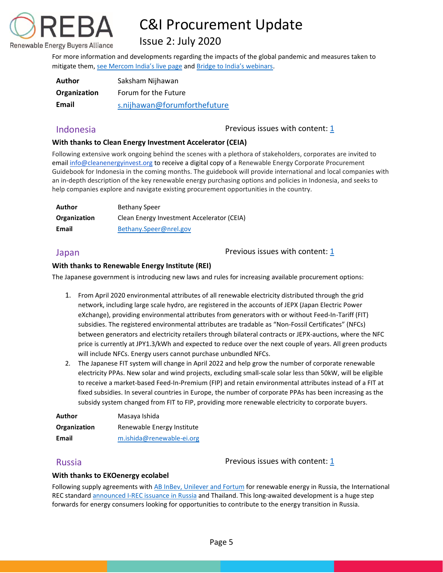

# Issue 2: July 2020

For more information and developments regarding the impacts of the global pandemic and measures taken to mitigate them, [see Mercom](https://mercomindia.com/mercom-coronavirus-live-updates-clean-energy-india/) India's live page and [Bridge to India's webinars](https://bridgetoindia.com/webinars/).

| <b>Author</b> | Saksham Nijhawan             |
|---------------|------------------------------|
| Organization  | Forum for the Future         |
| Email         | s.nijhawan@forumforthefuture |

<span id="page-5-2"></span>Indonesia **Indonesia** Previous issues with content: [1](https://reba2019dev.wpengine.com/wp-content/uploads/2020/02/REBA-CI-Procurement-Update_Feb-2020-1.pdf)

### **With thanks to Clean Energy Investment Accelerator (CEIA)**

Following extensive work ongoing behind the scenes with a plethora of stakeholders, corporates are invited to emai[l info@cleanenergyinvest.org](mailto:info@cleanenergyinvest.org) to receive a digital copy of a Renewable Energy Corporate Procurement Guidebook for Indonesia in the coming months. The guidebook will provide international and local companies with an in-depth description of the key renewable energy purchasing options and policies in Indonesia, and seeks to help companies explore and navigate existing procurement opportunities in the country.

| Author       | <b>Bethany Speer</b>                       |
|--------------|--------------------------------------------|
| Organization | Clean Energy Investment Accelerator (CEIA) |
| Email        | Bethany.Speer@nrel.gov                     |

<span id="page-5-1"></span>Japan  $\Box$  and  $\Box$  are  $\Box$  are  $\Box$  Previous issues with content:  $\Box$ 

### **With thanks to Renewable Energy Institute (REI)**

The Japanese government is introducing new laws and rules for increasing available procurement options:

- 1. From April 2020 environmental attributes of all renewable electricity distributed through the grid network, including large scale hydro, are registered in the accounts of JEPX (Japan Electric Power eXchange), providing environmental attributes from generators with or without Feed-In-Tariff (FIT) subsidies. The registered environmental attributes are tradable as "Non-Fossil Certificates" (NFCs) between generators and electricity retailers through bilateral contracts or JEPX-auctions, where the NFC price is currently at JPY1.3/kWh and expected to reduce over the next couple of years. All green products will include NFCs. Energy users cannot purchase unbundled NFCs.
- 2. The Japanese FIT system will change in April 2022 and help grow the number of corporate renewable electricity PPAs. New solar and wind projects, excluding small-scale solar less than 50kW, will be eligible to receive a market-based Feed-In-Premium (FIP) and retain environmental attributes instead of a FIT at fixed subsidies. In several countries in Europe, the number of corporate PPAs has been increasing as the subsidy system changed from FIT to FIP, providing more renewable electricity to corporate buyers.

| Author       | Masaya Ishida              |
|--------------|----------------------------|
| Organization | Renewable Energy Institute |
| Email        | m.ishida@renewable-ei.org  |

<span id="page-5-0"></span>Russia **Previous issues with content:** [1](https://reba2019dev.wpengine.com/wp-content/uploads/2020/02/REBA-CI-Procurement-Update_Feb-2020-1.pdf)

### **With thanks to EKOenergy ecolabel**

Following supply agreements with AB InBev, [Unilever and Fortum](https://www.fortum.com/about-us/blog-podcast/forthedoers-blog/fortum-catches-wind-russia) for renewable energy in Russia, the International REC standard [announced I-REC issuance in Russia](https://www.irecstandard.org/news/the-international-rec-standard-foundation-board-authorizes-issuers-in-russia-and-thailand) and Thailand. This long-awaited development is a huge step forwards for energy consumers looking for opportunities to contribute to the energy transition in Russia.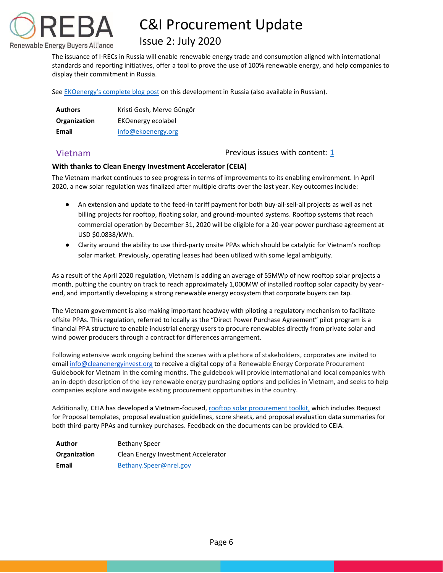

## Issue 2: July 2020

The issuance of I-RECs in Russia will enable renewable energy trade and consumption aligned with international standards and reporting initiatives, offer a tool to prove the use of 100% renewable energy, and help companies to display their commitment in Russia.

See [EKOenergy's complete blog post](https://www.ekoenergy.org/i-recs-for-renewable-electricity-tracking-in-russia/) on this development in Russia (also available in Russian).

| <b>Authors</b> | Kristi Gosh, Merve Güngör |
|----------------|---------------------------|
| Organization   | EKOenergy ecolabel        |
| Email          | info@ekoenergy.org        |

### <span id="page-6-1"></span>Vietnam Previous issues with content: [1](https://reba2019dev.wpengine.com/wp-content/uploads/2020/02/REBA-CI-Procurement-Update_Feb-2020-1.pdf)

### **With thanks to Clean Energy Investment Accelerator (CEIA)**

The Vietnam market continues to see progress in terms of improvements to its enabling environment. In April 2020, a new solar regulation was finalized after multiple drafts over the last year. Key outcomes include:

- An extension and update to the feed-in tariff payment for both buy-all-sell-all projects as well as net billing projects for rooftop, floating solar, and ground-mounted systems. Rooftop systems that reach commercial operation by December 31, 2020 will be eligible for a 20-year power purchase agreement at USD \$0.0838/kWh.
- Clarity around the ability to use third-party onsite PPAs which should be catalytic for Vietnam's rooftop solar market. Previously, operating leases had been utilized with some legal ambiguity.

As a result of the April 2020 regulation, Vietnam is adding an average of 55MWp of new rooftop solar projects a month, putting the country on track to reach approximately 1,000MW of installed rooftop solar capacity by yearend, and importantly developing a strong renewable energy ecosystem that corporate buyers can tap.

The Vietnam government is also making important headway with piloting a regulatory mechanism to facilitate offsite PPAs. This regulation, referred to locally as the "Direct Power Purchase Agreement" pilot program is a financial PPA structure to enable industrial energy users to procure renewables directly from private solar and wind power producers through a contract for differences arrangement.

Following extensive work ongoing behind the scenes with a plethora of stakeholders, corporates are invited to emai[l info@cleanenergyinvest.org](mailto:info@cleanenergyinvest.org) to receive a digital copy of a Renewable Energy Corporate Procurement Guidebook for Vietnam in the coming months. The guidebook will provide international and local companies with an in-depth description of the key renewable energy purchasing options and policies in Vietnam, and seeks to help companies explore and navigate existing procurement opportunities in the country.

Additionally, CEIA has developed a Vietnam-focused[, rooftop solar procurement toolkit,](https://nam10.safelinks.protection.outlook.com/?url=https%3A%2F%2Fwww.cleanenergyinvest.org%2Fvietnam-resources&data=02%7C01%7Ckkerr%40rebuyers.org%7C4059898602624839394708d812e3d52b%7C85e98bb78ec64977a794ffb1ede0f3df%7C1%7C0%7C637280117039895414&sdata=QqLKaGxr5APZ7L7k3VHzaJgG5dkzbt6ifctpExxJ5jo%3D&reserved=0) which includes Request for Proposal templates, proposal evaluation guidelines, score sheets, and proposal evaluation data summaries for both third-party PPAs and turnkey purchases. Feedback on the documents can be provided to CEIA.

<span id="page-6-0"></span>

| Author       | <b>Bethany Speer</b>                |
|--------------|-------------------------------------|
| Organization | Clean Energy Investment Accelerator |
| Email        | Bethany.Speer@nrel.gov              |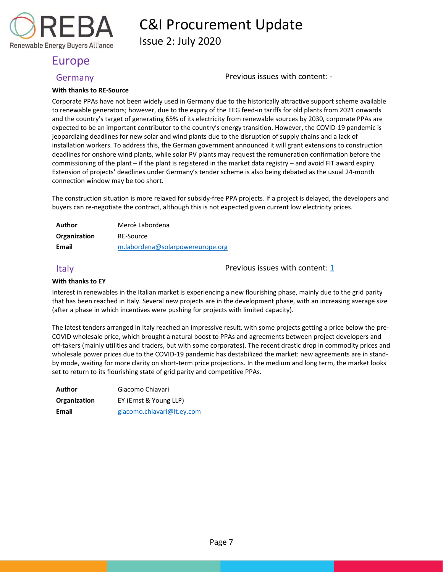Issue 2: July 2020

## Europe

Renewable Energy Buyers Alliance

<span id="page-7-1"></span>Germany Germany **Previous** issues with content: -

#### **With thanks to RE-Source**

Corporate PPAs have not been widely used in Germany due to the historically attractive support scheme available to renewable generators; however, due to the expiry of the EEG feed-in tariffs for old plants from 2021 onwards and the country's target of generating 65% of its electricity from renewable sources by 2030, corporate PPAs are expected to be an important contributor to the country's energy transition. However, the COVID-19 pandemic is jeopardizing deadlines for new solar and wind plants due to the disruption of supply chains and a lack of installation workers. To address this, the German government announced it will grant extensions to construction deadlines for onshore wind plants, while solar PV plants may request the remuneration confirmation before the commissioning of the plant – if the plant is registered in the market data registry – and avoid FIT award expiry. Extension of projects' deadlines under Germany's tender scheme is also being debated as the usual 24-month connection window may be too short.

The construction situation is more relaxed for subsidy-free PPA projects. If a project is delayed, the developers and buyers can re-negotiate the contract, although this is not expected given current low electricity prices.

| Author       | Mercè Labordena                  |
|--------------|----------------------------------|
| Organization | RE-Source                        |
| Email        | m.labordena@solarpowereurope.org |

<span id="page-7-0"></span>Italy  $\Box$  Previous issues with content:  $\underline{1}$ 

### **With thanks to EY**

Interest in renewables in the Italian market is experiencing a new flourishing phase, mainly due to the grid parity that has been reached in Italy. Several new projects are in the development phase, with an increasing average size (after a phase in which incentives were pushing for projects with limited capacity).

The latest tenders arranged in Italy reached an impressive result, with some projects getting a price below the pre-COVID wholesale price, which brought a natural boost to PPAs and agreements between project developers and off-takers (mainly utilities and traders, but with some corporates). The recent drastic drop in commodity prices and wholesale power prices due to the COVID-19 pandemic has destabilized the market: new agreements are in standby mode, waiting for more clarity on short-term price projections. In the medium and long term, the market looks set to return to its flourishing state of grid parity and competitive PPAs.

| Author       | Giacomo Chiavari           |
|--------------|----------------------------|
| Organization | EY (Ernst & Young LLP)     |
| Email        | giacomo.chiavari@it.ey.com |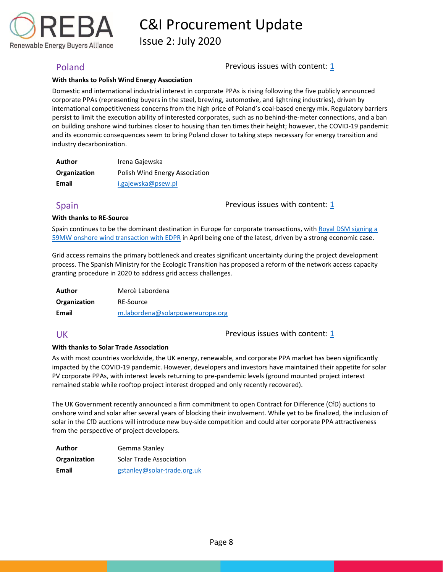

Issue 2: July 2020

### <span id="page-8-0"></span>Poland Previous issues with content: [1](https://reba2019dev.wpengine.com/wp-content/uploads/2020/02/REBA-CI-Procurement-Update_Feb-2020-1.pdf)

#### **With thanks to Polish Wind Energy Association**

Domestic and international industrial interest in corporate PPAs is rising following the five publicly announced corporate PPAs (representing buyers in the steel, brewing, automotive, and lightning industries), driven by international competitiveness concerns from the high price of Poland's coal-based energy mix. Regulatory barriers persist to limit the execution ability of interested corporates, such as no behind-the-meter connections, and a ban on building onshore wind turbines closer to housing than ten times their height; however, the COVID-19 pandemic and its economic consequences seem to bring Poland closer to taking steps necessary for energy transition and industry decarbonization.

| Author       | Irena Gajewska                 |
|--------------|--------------------------------|
| Organization | Polish Wind Energy Association |
| Email        | i.gajewska@psew.pl             |

<span id="page-8-1"></span>Spain **Previous** issues with content: [1](https://reba2019dev.wpengine.com/wp-content/uploads/2020/02/REBA-CI-Procurement-Update_Feb-2020-1.pdf)

#### **With thanks to RE-Source**

Spain continues to be the dominant destination in Europe for corporate transactions, wit[h Royal DSM signing](https://www.dsm.com/corporate/news/news-archive/2020/2020-04-21-dsm-firmly-on-course-to-achieve-75-perecent-renewable-electricity-with-largest-ppa-partnerships-to-date.html) a [59MW onshore wind transaction with EDPR](https://www.dsm.com/corporate/news/news-archive/2020/2020-04-21-dsm-firmly-on-course-to-achieve-75-perecent-renewable-electricity-with-largest-ppa-partnerships-to-date.html) in April being one of the latest, driven by a strong economic case.

Grid access remains the primary bottleneck and creates significant uncertainty during the project development process. The Spanish Ministry for the Ecologic Transition has proposed a reform of the network access capacity granting procedure in 2020 to address grid access challenges.

| Author       | Mercè Labordena                  |
|--------------|----------------------------------|
| Organization | RE-Source                        |
| Email        | m.labordena@solarpowereurope.org |

<span id="page-8-2"></span>UK Previous issues with content: [1](https://reba2019dev.wpengine.com/wp-content/uploads/2020/02/REBA-CI-Procurement-Update_Feb-2020-1.pdf)

#### **With thanks to Solar Trade Association**

As with most countries worldwide, the UK energy, renewable, and corporate PPA market has been significantly impacted by the COVID-19 pandemic. However, developers and investors have maintained their appetite for solar PV corporate PPAs, with interest levels returning to pre-pandemic levels (ground mounted project interest remained stable while rooftop project interest dropped and only recently recovered).

The UK Government recently announced a firm commitment to open Contract for Difference (CfD) auctions to onshore wind and solar after several years of blocking their involvement. While yet to be finalized, the inclusion of solar in the CfD auctions will introduce new buy-side competition and could alter corporate PPA attractiveness from the perspective of project developers.

| Author       | Gemma Stanley                  |  |
|--------------|--------------------------------|--|
| Organization | <b>Solar Trade Association</b> |  |
| Email        | gstanley@solar-trade.org.uk    |  |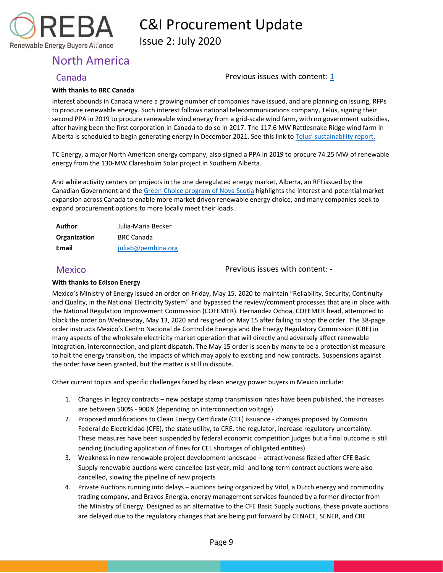

Issue 2: July 2020

# <span id="page-9-0"></span>North America

Renewable Energy Buyers Alliance

### <span id="page-9-1"></span>Canada Previous issues with content: [1](https://reba2019dev.wpengine.com/wp-content/uploads/2020/02/REBA-CI-Procurement-Update_Feb-2020-1.pdf)

#### **With thanks to BRC Canada**

Interest abounds in Canada where a growing number of companies have issued, and are planning on issuing, RFPs to procure renewable energy. Such interest follows national telecommunications company, Telus, signing their second PPA in 2019 to procure renewable wind energy from a grid-scale wind farm, with no government subsidies, after having been the first corporation in Canada to do so in 2017. The 117.6 MW Rattlesnake Ridge wind farm in Alberta is scheduled to begin generating energy in December 2021. See this link to [Telus' sustainability report.](https://www.telus.com/en/bc/about/sustainability)

TC Energy, a major North American energy company, also signed a PPA in 2019 to procure 74.25 MW of renewable energy from the 130-MW Claresholm Solar project in Southern Alberta.

And while activity centers on projects in the one deregulated energy market, Alberta, an RFI issued by the Canadian Government and the [Green Choice program of Nova Scotia](https://novascotia.ca/news/release/?id=20200226008) highlights the interest and potential market expansion across Canada to enable more market driven renewable energy choice, and many companies seek to expand procurement options to more locally meet their loads.

| Author       | Julia-Maria Becker |  |
|--------------|--------------------|--|
| Organization | <b>BRC Canada</b>  |  |
| Email        | juliab@pembina.org |  |

<span id="page-9-2"></span>Mexico Previous issues with content: -

### **With thanks to Edison Energy**

Mexico's Ministry of Energy issued an order on Friday, May 15, 2020 to maintain "Reliability, Security, Continuity and Quality, in the National Electricity System" and bypassed the review/comment processes that are in place with the National Regulation Improvement Commission (COFEMER). Hernandez Ochoa, COFEMER head, attempted to block the order on Wednesday, May 13, 2020 and resigned on May 15 after failing to stop the order. The 38-page order instructs Mexico's Centro Nacional de Control de Energia and the Energy Regulatory Commission (CRE) in many aspects of the wholesale electricity market operation that will directly and adversely affect renewable integration, interconnection, and plant dispatch. The May 15 order is seen by many to be a protectionist measure to halt the energy transition, the impacts of which may apply to existing and new contracts. Suspensions against the order have been granted, but the matter is still in dispute.

Other current topics and specific challenges faced by clean energy power buyers in Mexico include:

- 1. Changes in legacy contracts new postage stamp transmission rates have been published, the increases are between 500% - 900% (depending on interconnection voltage)
- 2. Proposed modifications to Clean Energy Certificate (CEL) issuance changes proposed by Comisión Federal de Electricidad (CFE), the state utility, to CRE, the regulator, increase regulatory uncertainty. These measures have been suspended by federal economic competition judges but a final outcome is still pending (including application of fines for CEL shortages of obligated entities)
- 3. Weakness in new renewable project development landscape attractiveness fizzled after CFE Basic Supply renewable auctions were cancelled last year, mid- and long-term contract auctions were also cancelled, slowing the pipeline of new projects
- 4. Private Auctions running into delays auctions being organized by Vitol, a Dutch energy and commodity trading company, and Bravos Energia, energy management services founded by a former director from the Ministry of Energy. Designed as an alternative to the CFE Basic Supply auctions, these private auctions are delayed due to the regulatory changes that are being put forward by CENACE, SENER, and CRE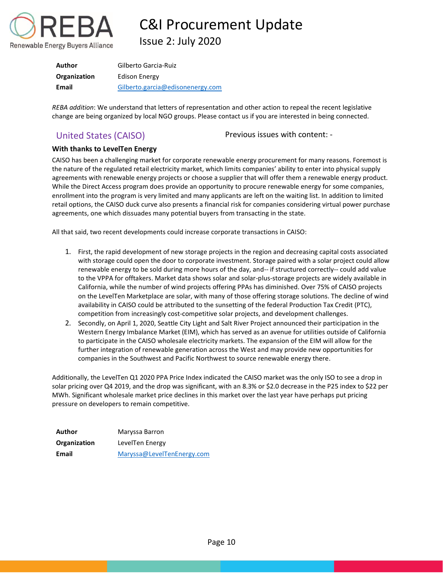

C&I Procurement Update Issue 2: July 2020

| Author       | Gilberto Garcia-Ruiz             |
|--------------|----------------------------------|
| Organization | Edison Energy                    |
| Email        | Gilberto.garcia@edisonenergy.com |

*REBA addition*: We understand that letters of representation and other action to repeal the recent legislative change are being organized by local NGO groups. Please contact us if you are interested in being connected.

<span id="page-10-0"></span>United States (CAISO) Previous issues with content: -

### **With thanks to LevelTen Energy**

CAISO has been a challenging market for corporate renewable energy procurement for many reasons. Foremost is the nature of the regulated retail electricity market, which limits companies' ability to enter into physical supply agreements with renewable energy projects or choose a supplier that will offer them a renewable energy product. While the Direct Access program does provide an opportunity to procure renewable energy for some companies, enrollment into the program is very limited and many applicants are left on the waiting list. In addition to limited retail options, the CAISO duck curve also presents a financial risk for companies considering virtual power purchase agreements, one which dissuades many potential buyers from transacting in the state.

All that said, two recent developments could increase corporate transactions in CAISO:

- 1. First, the rapid development of new storage projects in the region and decreasing capital costs associated with storage could open the door to corporate investment. Storage paired with a solar project could allow renewable energy to be sold during more hours of the day, and-- if structured correctly-- could add value to the VPPA for offtakers. Market data shows solar and solar-plus-storage projects are widely available in California, while the number of wind projects offering PPAs has diminished. Over 75% of CAISO projects on the LevelTen Marketplace are solar, with many of those offering storage solutions. The decline of wind availability in CAISO could be attributed to the sunsetting of the federal Production Tax Credit (PTC), competition from increasingly cost-competitive solar projects, and development challenges.
- 2. Secondly, on April 1, 2020, Seattle City Light and Salt River Project announced their participation in the Western Energy Imbalance Market (EIM), which has served as an avenue for utilities outside of California to participate in the CAISO wholesale electricity markets. The expansion of the EIM will allow for the further integration of renewable generation across the West and may provide new opportunities for companies in the Southwest and Pacific Northwest to source renewable energy there.

Additionally, the LevelTen Q1 2020 PPA Price Index indicated the CAISO market was the only ISO to see a drop in solar pricing over Q4 2019, and the drop was significant, with an 8.3% or \$2.0 decrease in the P25 index to \$22 per MWh. Significant wholesale market price declines in this market over the last year have perhaps put pricing pressure on developers to remain competitive.

| Author       | Maryssa Barron             |  |
|--------------|----------------------------|--|
| Organization | LevelTen Energy            |  |
| Email        | Maryssa@LevelTenEnergy.com |  |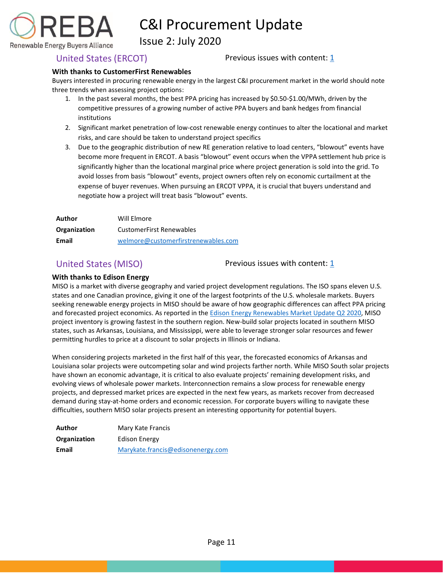

Issue 2: July 2020

Renewable Energy Buyers Alliance

<span id="page-11-0"></span>United States (ERCOT) Previous issues with content:  $1/2$ 

### **With thanks to CustomerFirst Renewables**

Buyers interested in procuring renewable energy in the largest C&I procurement market in the world should note three trends when assessing project options:

- 1. In the past several months, the best PPA pricing has increased by \$0.50-\$1.00/MWh, driven by the competitive pressures of a growing number of active PPA buyers and bank hedges from financial institutions
- 2. Significant market penetration of low-cost renewable energy continues to alter the locational and market risks, and care should be taken to understand project specifics
- 3. Due to the geographic distribution of new RE generation relative to load centers, "blowout" events have become more frequent in ERCOT. A basis "blowout" event occurs when the VPPA settlement hub price is significantly higher than the locational marginal price where project generation is sold into the grid. To avoid losses from basis "blowout" events, project owners often rely on economic curtailment at the expense of buyer revenues. When pursuing an ERCOT VPPA, it is crucial that buyers understand and negotiate how a project will treat basis "blowout" events.

| Author       | Will Elmore                         |  |
|--------------|-------------------------------------|--|
| Organization | CustomerFirst Renewables            |  |
| Email        | welmore@customerfirstrenewables.com |  |

<span id="page-11-1"></span>United States (MISO) Previous issues with content:  $\mathbf{1}$ 

### **With thanks to Edison Energy**

MISO is a market with diverse geography and varied project development regulations. The ISO spans eleven U.S. states and one Canadian province, giving it one of the largest footprints of the U.S. wholesale markets. Buyers seeking renewable energy projects in MISO should be aware of how geographic differences can affect PPA pricing and forecasted project economics. As reported in the [Edison Energy Renewables Market Update Q2 2020,](https://www.edisonenergy.com/our-perspective/edison-energy-renewables-market-update-q2-2020/) MISO project inventory is growing fastest in the southern region. New-build solar projects located in southern MISO states, such as Arkansas, Louisiana, and Mississippi, were able to leverage stronger solar resources and fewer permitting hurdles to price at a discount to solar projects in Illinois or Indiana.

When considering projects marketed in the first half of this year, the forecasted economics of Arkansas and Louisiana solar projects were outcompeting solar and wind projects farther north. While MISO South solar projects have shown an economic advantage, it is critical to also evaluate projects' remaining development risks, and evolving views of wholesale power markets. Interconnection remains a slow process for renewable energy projects, and depressed market prices are expected in the next few years, as markets recover from decreased demand during stay-at-home orders and economic recession. For corporate buyers willing to navigate these difficulties, southern MISO solar projects present an interesting opportunity for potential buyers.

| Author       | Mary Kate Francis                 |  |
|--------------|-----------------------------------|--|
| Organization | Edison Energy                     |  |
| Email        | Marykate.francis@edisonenergy.com |  |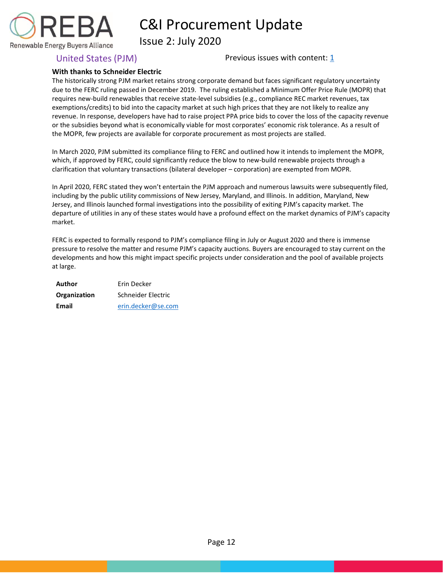

Issue 2: July 2020

<span id="page-12-0"></span>United States (PJM)  $\qquad \qquad$  Previous issues with content:  $\frac{1}{1}$ 

### **With thanks to Schneider Electric**

The historically strong PJM market retains strong corporate demand but faces significant regulatory uncertainty due to the FERC ruling passed in December 2019. The ruling established a Minimum Offer Price Rule (MOPR) that requires new-build renewables that receive state-level subsidies (e.g., compliance REC market revenues, tax exemptions/credits) to bid into the capacity market at such high prices that they are not likely to realize any revenue. In response, developers have had to raise project PPA price bids to cover the loss of the capacity revenue or the subsidies beyond what is economically viable for most corporates' economic risk tolerance. As a result of the MOPR, few projects are available for corporate procurement as most projects are stalled.

In March 2020, PJM submitted its compliance filing to FERC and outlined how it intends to implement the MOPR, which, if approved by FERC, could significantly reduce the blow to new-build renewable projects through a clarification that voluntary transactions (bilateral developer – corporation) are exempted from MOPR.

In April 2020, FERC stated they won't entertain the PJM approach and numerous lawsuits were subsequently filed, including by the public utility commissions of New Jersey, Maryland, and Illinois. In addition, Maryland, New Jersey, and Illinois launched formal investigations into the possibility of exiting PJM's capacity market. The departure of utilities in any of these states would have a profound effect on the market dynamics of PJM's capacity market.

FERC is expected to formally respond to PJM's compliance filing in July or August 2020 and there is immense pressure to resolve the matter and resume PJM's capacity auctions. Buyers are encouraged to stay current on the developments and how this might impact specific projects under consideration and the pool of available projects at large.

| Author       | Frin Decker        |  |  |
|--------------|--------------------|--|--|
| Organization | Schneider Electric |  |  |
| Email        | erin.decker@se.com |  |  |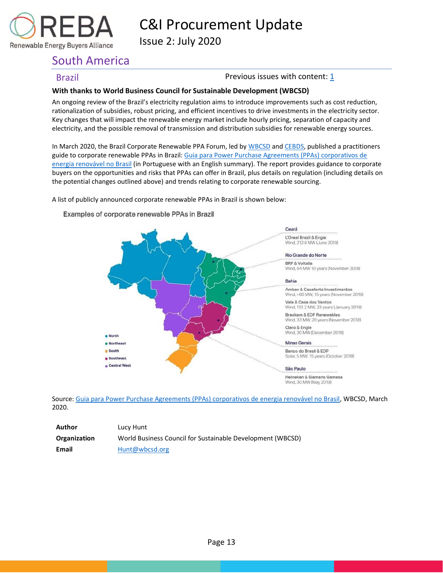

Issue 2: July 2020

# <span id="page-13-0"></span>South America

<span id="page-13-1"></span>**Brazil Brazil Brazil Previous issues with content: [1](https://reba2019dev.wpengine.com/wp-content/uploads/2020/02/REBA-CI-Procurement-Update_Feb-2020-1.pdf)** 

### **With thanks to World Business Council for Sustainable Development (WBCSD)**

An ongoing review of the Brazil's electricity regulation aims to introduce improvements such as cost reduction, rationalization of subsidies, robust pricing, and efficient incentives to drive investments in the electricity sector. Key changes that will impact the renewable energy market include hourly pricing, separation of capacity and electricity, and the possible removal of transmission and distribution subsidies for renewable energy sources.

In March 2020, the Brazil Corporate Renewable PPA Forum, led by [WBCSD](https://nam10.safelinks.protection.outlook.com/?url=https%3A%2F%2Fwww.wbcsd.org%2F&data=02%7C01%7Ckkerr%40rebuyers.org%7C015c4892eaf847ab50b508d7f843cc5a%7C85e98bb78ec64977a794ffb1ede0f3df%7C1%7C1%7C637250842406028064&sdata=gNkdX93npjKs1V03uRmB%2FZAwCP80AlQBHrFKXE77QXI%3D&reserved=0) an[d CEBDS,](https://nam10.safelinks.protection.outlook.com/?url=https%3A%2F%2Fcebds.org%2F&data=02%7C01%7Ckkerr%40rebuyers.org%7C015c4892eaf847ab50b508d7f843cc5a%7C85e98bb78ec64977a794ffb1ede0f3df%7C1%7C1%7C637250842406028064&sdata=mKHY6MEIcIuwbywDPEt0aZE5KvVSYHta9l1pcWopcfg%3D&reserved=0) published a practitioners guide to corporate renewable PPAs in Brazil[: Guia para Power Purchase Agreements \(PPAs\) corporativos de](https://nam10.safelinks.protection.outlook.com/?url=https%3A%2F%2Fwww.wbcsd.org%2FPrograms%2FClimate-and-Energy%2FEnergy%2FREscale%2FResources%2FGuide-to-Corporate-Renewable-Power-Purchase-Agreements-PPAs-in-Brazil&data=02%7C01%7Ckkerr%40rebuyers.org%7C015c4892eaf847ab50b508d7f843cc5a%7C85e98bb78ec64977a794ffb1ede0f3df%7C1%7C1%7C637250842406038061&sdata=eSzwqi1rGdeuPv%2BVT%2FL0N844CZpdfLjaMGlvE7PMNjc%3D&reserved=0)  [energia renovável no Brasil](https://nam10.safelinks.protection.outlook.com/?url=https%3A%2F%2Fwww.wbcsd.org%2FPrograms%2FClimate-and-Energy%2FEnergy%2FREscale%2FResources%2FGuide-to-Corporate-Renewable-Power-Purchase-Agreements-PPAs-in-Brazil&data=02%7C01%7Ckkerr%40rebuyers.org%7C015c4892eaf847ab50b508d7f843cc5a%7C85e98bb78ec64977a794ffb1ede0f3df%7C1%7C1%7C637250842406038061&sdata=eSzwqi1rGdeuPv%2BVT%2FL0N844CZpdfLjaMGlvE7PMNjc%3D&reserved=0) (in Portuguese with an English summary). The report provides guidance to corporate buyers on the opportunities and risks that PPAs can offer in Brazil, plus details on regulation (including details on the potential changes outlined above) and trends relating to corporate renewable sourcing.

A list of publicly announced corporate renewable PPAs in Brazil is shown below:



Examples of corporate renewable PPAs in Brazil

Source[: Guia para Power Purchase Agreements \(PPAs\) corporativos de energia renovável no Brasil,](https://nam10.safelinks.protection.outlook.com/?url=https%3A%2F%2Fwww.wbcsd.org%2FPrograms%2FClimate-and-Energy%2FEnergy%2FREscale%2FResources%2FGuide-to-Corporate-Renewable-Power-Purchase-Agreements-PPAs-in-Brazil&data=02%7C01%7Ckkerr%40rebuyers.org%7C015c4892eaf847ab50b508d7f843cc5a%7C85e98bb78ec64977a794ffb1ede0f3df%7C1%7C1%7C637250842406048056&sdata=EZaS2x4cIFFFB49wyiZ1uWuNehduOot3Sak87WLi0kg%3D&reserved=0) WBCSD, March 2020.

| Author       | Lucy Hunt                                                  |
|--------------|------------------------------------------------------------|
| Organization | World Business Council for Sustainable Development (WBCSD) |
| Email        | Hunt@wbcsd.org                                             |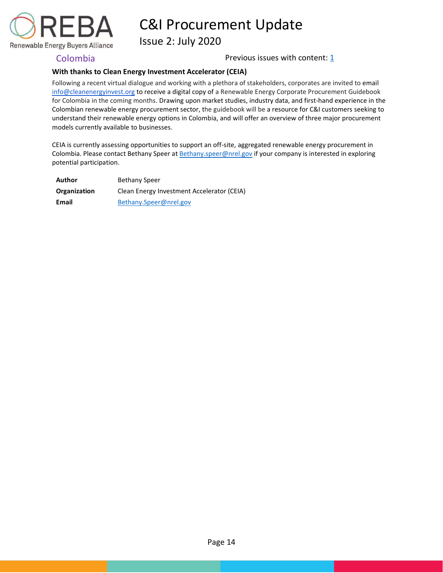

Issue 2: July 2020

<span id="page-14-0"></span>Colombia **Previous issues with content:** [1](https://reba2019dev.wpengine.com/wp-content/uploads/2020/02/REBA-CI-Procurement-Update_Feb-2020-1.pdf)

### **With thanks to Clean Energy Investment Accelerator (CEIA)**

Following a recent virtual dialogue and working with a plethora of stakeholders, corporates are invited to email [info@cleanenergyinvest.org](mailto:info@cleanenergyinvest.org) to receive a digital copy of a Renewable Energy Corporate Procurement Guidebook for Colombia in the coming months. Drawing upon market studies, industry data, and first-hand experience in the Colombian renewable energy procurement sector, the guidebook will be a resource for C&I customers seeking to understand their renewable energy options in Colombia, and will offer an overview of three major procurement models currently available to businesses.

CEIA is currently assessing opportunities to support an off-site, aggregated renewable energy procurement in Colombia. Please contact Bethany Speer at [Bethany.speer@nrel.gov](mailto:Bethany.speer@nrel.gov) if your company is interested in exploring potential participation.

| Author       | <b>Bethany Speer</b>                       |
|--------------|--------------------------------------------|
| Organization | Clean Energy Investment Accelerator (CEIA) |
| Email        | Bethany.Speer@nrel.gov                     |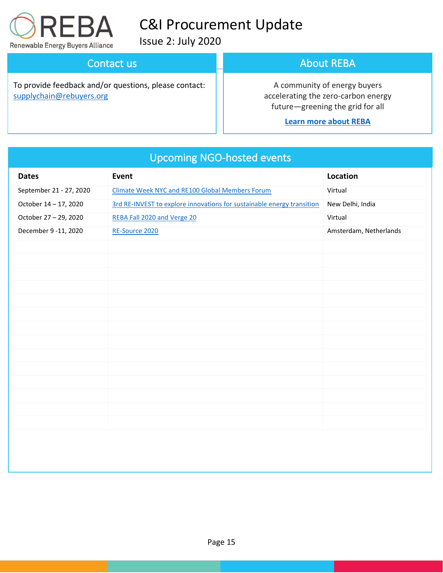

[supplychain@rebuyers.org](mailto:supplychain@rebuyers.org)

# C&I Procurement Update

Issue 2: July 2020

**Contact us and upcoming events** 

To provide feedback and/or questions, please contact:

## About REBA

A community of energy buyers accelerating the zero-carbon energy future—greening the grid for all

### **[Learn more about REBA](https://rebuyers.org/)**

| <b>Dates</b>            | the company's company's<br>Event                                       | Location               |
|-------------------------|------------------------------------------------------------------------|------------------------|
|                         |                                                                        |                        |
| September 21 - 27, 2020 | <b>Climate Week NYC and RE100 Global Members Forum</b>                 | Virtual                |
| October 14 - 17, 2020   | 3rd RE-INVEST to explore innovations for sustainable energy transition | New Delhi, India       |
| October 27 - 29, 2020   | REBA Fall 2020 and Verge 20                                            | Virtual                |
| December 9 -11, 2020    | RE-Source 2020                                                         | Amsterdam, Netherlands |
|                         |                                                                        |                        |
|                         |                                                                        |                        |
|                         |                                                                        |                        |
|                         |                                                                        |                        |
|                         |                                                                        |                        |
|                         |                                                                        |                        |
|                         |                                                                        |                        |
|                         |                                                                        |                        |
|                         |                                                                        |                        |
|                         |                                                                        |                        |
|                         |                                                                        |                        |
|                         |                                                                        |                        |
|                         |                                                                        |                        |
|                         |                                                                        |                        |
|                         |                                                                        |                        |
|                         |                                                                        |                        |
|                         |                                                                        |                        |
|                         |                                                                        |                        |

# Upcoming NGO-hosted events